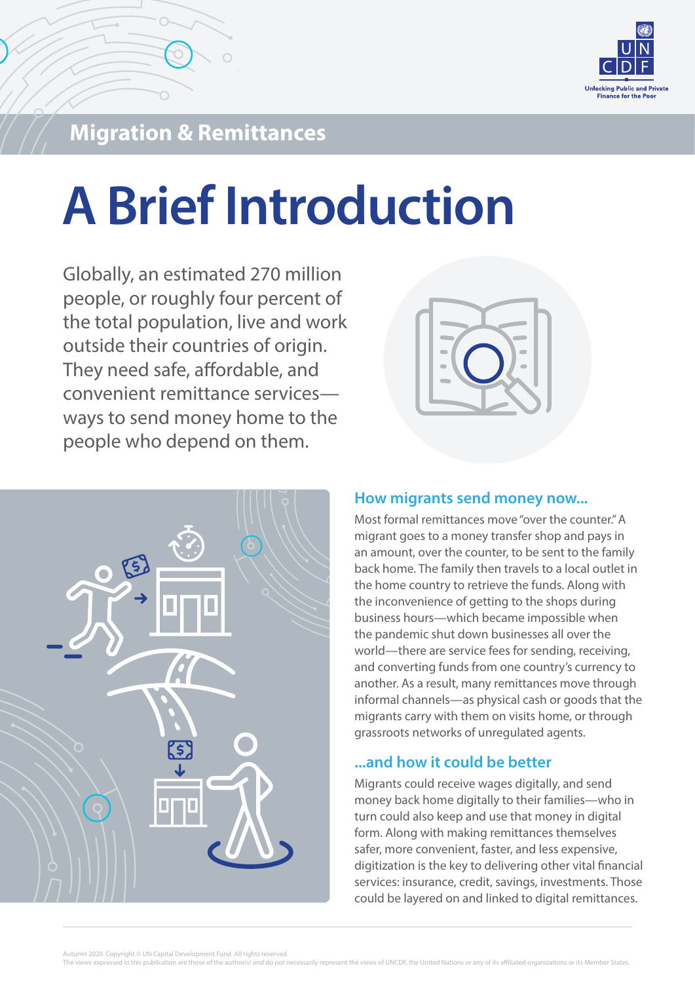

## **Migration & Remittances**

# **A Brief Introduction**

Globally, an estimated 270 million people, or roughly four percent of the total population, live and work outside their countries of origin. They need safe, affordable, and convenient remittance services ways to send money home to the people who depend on them.





#### **How migrants send money now...**

Most formal remittances move "over the counter." A migrant goes to a money transfer shop and pays in an amount, over the counter, to be sent to the family back home. The family then travels to a local outlet in the home country to retrieve the funds. Along with the inconvenience of getting to the shops during business hours—which became impossible when the pandemic shut down businesses all over the world—there are service fees for sending, receiving, and converting funds from one country's currency to another. As a result, many remittances move through informal channels—as physical cash or goods that the migrants carry with them on visits home, or through grassroots networks of unregulated agents.

#### **...and how it could be better**

Migrants could receive wages digitally, and send money back home digitally to their families—who in turn could also keep and use that money in digital form. Along with making remittances themselves safer, more convenient, faster, and less expensive, digitization is the key to delivering other vital financial services: insurance, credit, savings, investments. Those could be layered on and linked to digital remittances.

Autumn 2020. Copyright © UN Capital Development Fund. All rights reserved.

The views expressed in this publication are those of the author(s) and do not necessarily represent the views of UNCDF, the United Nations or any of its affiliated organizations or its Member States.